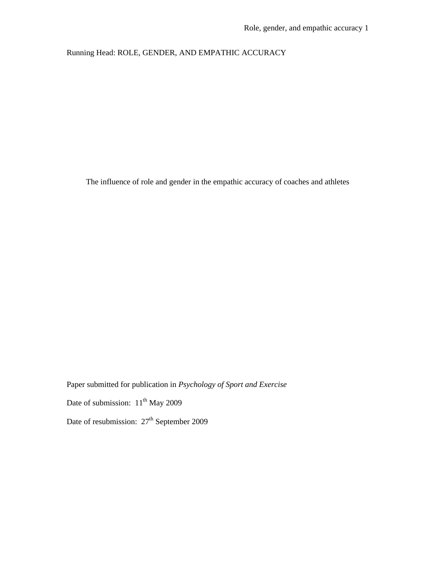## Running Head: ROLE, GENDER, AND EMPATHIC ACCURACY

The influence of role and gender in the empathic accuracy of coaches and athletes

Paper submitted for publication in *Psychology of Sport and Exercise* Date of submission:  $11^{th}$  May 2009 Date of resubmission:  $27<sup>th</sup>$  September 2009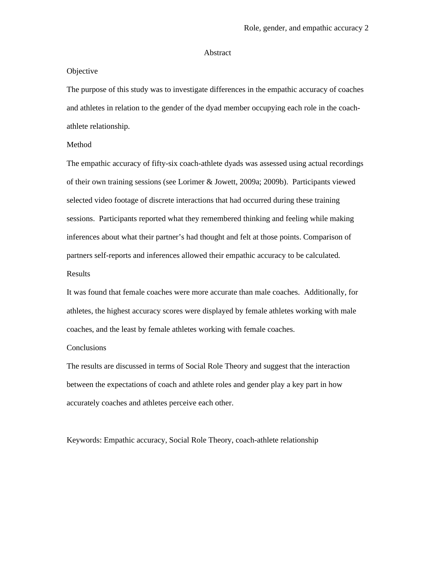#### Abstract

#### **Objective**

The purpose of this study was to investigate differences in the empathic accuracy of coaches and athletes in relation to the gender of the dyad member occupying each role in the coachathlete relationship.

## Method

The empathic accuracy of fifty-six coach-athlete dyads was assessed using actual recordings of their own training sessions (see Lorimer & Jowett, 2009a; 2009b). Participants viewed selected video footage of discrete interactions that had occurred during these training sessions. Participants reported what they remembered thinking and feeling while making inferences about what their partner's had thought and felt at those points. Comparison of partners self-reports and inferences allowed their empathic accuracy to be calculated. Results

It was found that female coaches were more accurate than male coaches. Additionally, for athletes, the highest accuracy scores were displayed by female athletes working with male coaches, and the least by female athletes working with female coaches.

## Conclusions

The results are discussed in terms of Social Role Theory and suggest that the interaction between the expectations of coach and athlete roles and gender play a key part in how accurately coaches and athletes perceive each other.

Keywords: Empathic accuracy, Social Role Theory, coach-athlete relationship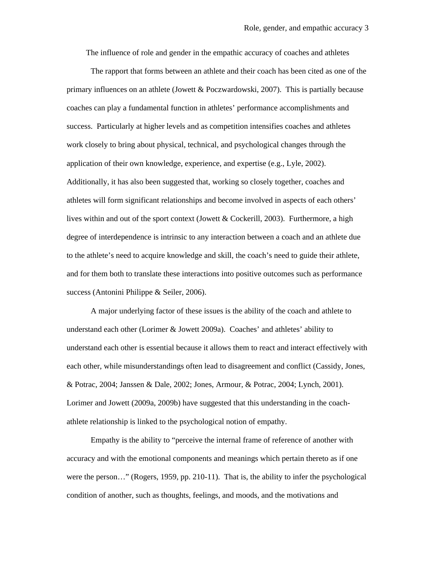The influence of role and gender in the empathic accuracy of coaches and athletes

The rapport that forms between an athlete and their coach has been cited as one of the primary influences on an athlete (Jowett & Poczwardowski, 2007). This is partially because coaches can play a fundamental function in athletes' performance accomplishments and success. Particularly at higher levels and as competition intensifies coaches and athletes work closely to bring about physical, technical, and psychological changes through the application of their own knowledge, experience, and expertise (e.g., Lyle, 2002). Additionally, it has also been suggested that, working so closely together, coaches and athletes will form significant relationships and become involved in aspects of each others' lives within and out of the sport context (Jowett & Cockerill, 2003). Furthermore, a high degree of interdependence is intrinsic to any interaction between a coach and an athlete due to the athlete's need to acquire knowledge and skill, the coach's need to guide their athlete, and for them both to translate these interactions into positive outcomes such as performance success (Antonini Philippe & Seiler, 2006).

A major underlying factor of these issues is the ability of the coach and athlete to understand each other (Lorimer & Jowett 2009a). Coaches' and athletes' ability to understand each other is essential because it allows them to react and interact effectively with each other, while misunderstandings often lead to disagreement and conflict (Cassidy, Jones, & Potrac, 2004; Janssen & Dale, 2002; Jones, Armour, & Potrac, 2004; Lynch, 2001). Lorimer and Jowett (2009a, 2009b) have suggested that this understanding in the coachathlete relationship is linked to the psychological notion of empathy.

Empathy is the ability to "perceive the internal frame of reference of another with accuracy and with the emotional components and meanings which pertain thereto as if one were the person..." (Rogers, 1959, pp. 210-11). That is, the ability to infer the psychological condition of another, such as thoughts, feelings, and moods, and the motivations and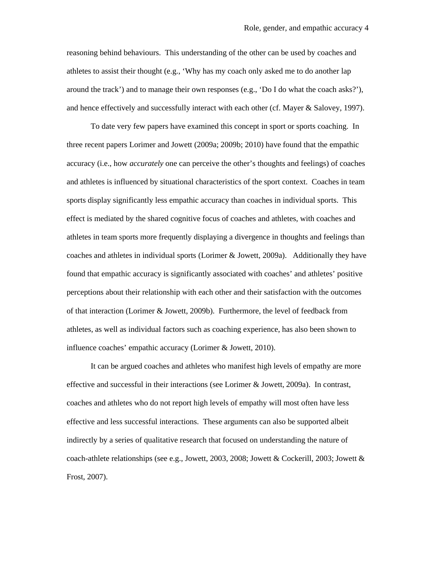reasoning behind behaviours. This understanding of the other can be used by coaches and athletes to assist their thought (e.g., 'Why has my coach only asked me to do another lap around the track') and to manage their own responses (e.g., 'Do I do what the coach asks?'), and hence effectively and successfully interact with each other (cf. Mayer & Salovey, 1997).

To date very few papers have examined this concept in sport or sports coaching. In three recent papers Lorimer and Jowett (2009a; 2009b; 2010) have found that the empathic accuracy (i.e., how *accurately* one can perceive the other's thoughts and feelings) of coaches and athletes is influenced by situational characteristics of the sport context. Coaches in team sports display significantly less empathic accuracy than coaches in individual sports. This effect is mediated by the shared cognitive focus of coaches and athletes, with coaches and athletes in team sports more frequently displaying a divergence in thoughts and feelings than coaches and athletes in individual sports (Lorimer & Jowett, 2009a). Additionally they have found that empathic accuracy is significantly associated with coaches' and athletes' positive perceptions about their relationship with each other and their satisfaction with the outcomes of that interaction (Lorimer & Jowett, 2009b). Furthermore, the level of feedback from athletes, as well as individual factors such as coaching experience, has also been shown to influence coaches' empathic accuracy (Lorimer & Jowett, 2010).

It can be argued coaches and athletes who manifest high levels of empathy are more effective and successful in their interactions (see Lorimer & Jowett, 2009a). In contrast, coaches and athletes who do not report high levels of empathy will most often have less effective and less successful interactions. These arguments can also be supported albeit indirectly by a series of qualitative research that focused on understanding the nature of coach-athlete relationships (see e.g., Jowett, 2003, 2008; Jowett & Cockerill, 2003; Jowett & Frost, 2007).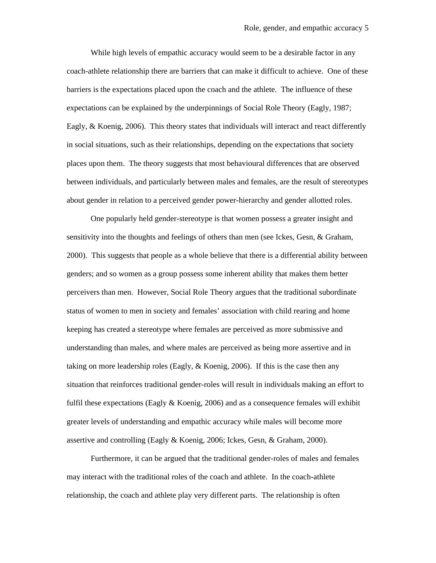While high levels of empathic accuracy would seem to be a desirable factor in any coach-athlete relationship there are barriers that can make it difficult to achieve. One of these barriers is the expectations placed upon the coach and the athlete. The influence of these expectations can be explained by the underpinnings of Social Role Theory (Eagly, 1987; Eagly, & Koenig, 2006). This theory states that individuals will interact and react differently in social situations, such as their relationships, depending on the expectations that society places upon them. The theory suggests that most behavioural differences that are observed between individuals, and particularly between males and females, are the result of stereotypes about gender in relation to a perceived gender power-hierarchy and gender allotted roles.

One popularly held gender-stereotype is that women possess a greater insight and sensitivity into the thoughts and feelings of others than men (see Ickes, Gesn, & Graham, 2000). This suggests that people as a whole believe that there is a differential ability between genders; and so women as a group possess some inherent ability that makes them better perceivers than men. However, Social Role Theory argues that the traditional subordinate status of women to men in society and females' association with child rearing and home keeping has created a stereotype where females are perceived as more submissive and understanding than males, and where males are perceived as being more assertive and in taking on more leadership roles (Eagly,  $\&$  Koenig, 2006). If this is the case then any situation that reinforces traditional gender-roles will result in individuals making an effort to fulfil these expectations (Eagly  $&$  Koenig, 2006) and as a consequence females will exhibit greater levels of understanding and empathic accuracy while males will become more assertive and controlling (Eagly & Koenig, 2006; Ickes, Gesn, & Graham, 2000).

Furthermore, it can be argued that the traditional gender-roles of males and females may interact with the traditional roles of the coach and athlete. In the coach-athlete relationship, the coach and athlete play very different parts. The relationship is often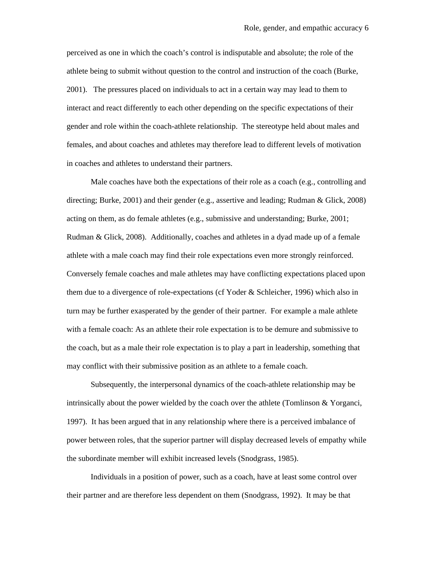perceived as one in which the coach's control is indisputable and absolute; the role of the athlete being to submit without question to the control and instruction of the coach (Burke, 2001). The pressures placed on individuals to act in a certain way may lead to them to interact and react differently to each other depending on the specific expectations of their gender and role within the coach-athlete relationship. The stereotype held about males and females, and about coaches and athletes may therefore lead to different levels of motivation in coaches and athletes to understand their partners.

Male coaches have both the expectations of their role as a coach (e.g., controlling and directing; Burke, 2001) and their gender (e.g., assertive and leading; Rudman & Glick, 2008) acting on them, as do female athletes (e.g., submissive and understanding; Burke, 2001; Rudman & Glick, 2008). Additionally, coaches and athletes in a dyad made up of a female athlete with a male coach may find their role expectations even more strongly reinforced. Conversely female coaches and male athletes may have conflicting expectations placed upon them due to a divergence of role-expectations (cf Yoder & Schleicher, 1996) which also in turn may be further exasperated by the gender of their partner. For example a male athlete with a female coach: As an athlete their role expectation is to be demure and submissive to the coach, but as a male their role expectation is to play a part in leadership, something that may conflict with their submissive position as an athlete to a female coach.

Subsequently, the interpersonal dynamics of the coach-athlete relationship may be intrinsically about the power wielded by the coach over the athlete (Tomlinson & Yorganci, 1997). It has been argued that in any relationship where there is a perceived imbalance of power between roles, that the superior partner will display decreased levels of empathy while the subordinate member will exhibit increased levels (Snodgrass, 1985).

Individuals in a position of power, such as a coach, have at least some control over their partner and are therefore less dependent on them (Snodgrass, 1992). It may be that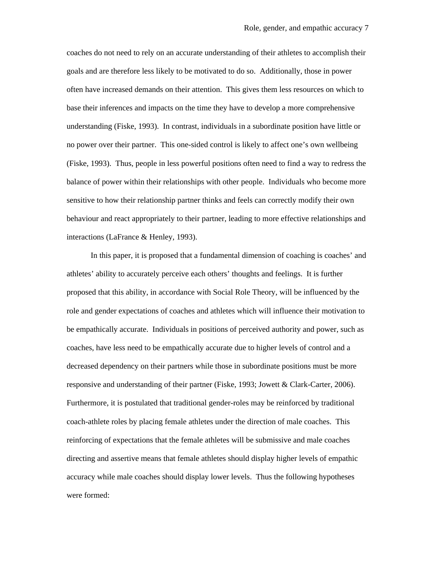coaches do not need to rely on an accurate understanding of their athletes to accomplish their goals and are therefore less likely to be motivated to do so. Additionally, those in power often have increased demands on their attention. This gives them less resources on which to base their inferences and impacts on the time they have to develop a more comprehensive understanding (Fiske, 1993). In contrast, individuals in a subordinate position have little or no power over their partner. This one-sided control is likely to affect one's own wellbeing (Fiske, 1993). Thus, people in less powerful positions often need to find a way to redress the balance of power within their relationships with other people. Individuals who become more sensitive to how their relationship partner thinks and feels can correctly modify their own behaviour and react appropriately to their partner, leading to more effective relationships and interactions (LaFrance & Henley, 1993).

In this paper, it is proposed that a fundamental dimension of coaching is coaches' and athletes' ability to accurately perceive each others' thoughts and feelings. It is further proposed that this ability, in accordance with Social Role Theory, will be influenced by the role and gender expectations of coaches and athletes which will influence their motivation to be empathically accurate. Individuals in positions of perceived authority and power, such as coaches, have less need to be empathically accurate due to higher levels of control and a decreased dependency on their partners while those in subordinate positions must be more responsive and understanding of their partner (Fiske, 1993; Jowett & Clark-Carter, 2006). Furthermore, it is postulated that traditional gender-roles may be reinforced by traditional coach-athlete roles by placing female athletes under the direction of male coaches. This reinforcing of expectations that the female athletes will be submissive and male coaches directing and assertive means that female athletes should display higher levels of empathic accuracy while male coaches should display lower levels. Thus the following hypotheses were formed: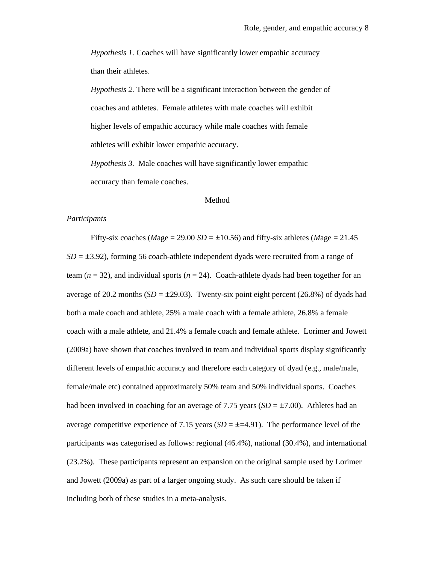*Hypothesis 1.* Coaches will have significantly lower empathic accuracy than their athletes.

*Hypothesis 2.* There will be a significant interaction between the gender of coaches and athletes. Female athletes with male coaches will exhibit higher levels of empathic accuracy while male coaches with female athletes will exhibit lower empathic accuracy.

*Hypothesis 3.* Male coaches will have significantly lower empathic accuracy than female coaches.

#### Method

#### *Participants*

Fifty-six coaches ( $Mage = 29.00 SD = \pm 10.56$ ) and fifty-six athletes ( $Mage = 21.45$ )  $SD = \pm 3.92$ ), forming 56 coach-athlete independent dyads were recruited from a range of team ( $n = 32$ ), and individual sports ( $n = 24$ ). Coach-athlete dyads had been together for an average of 20.2 months  $(SD = \pm 29.03)$ . Twenty-six point eight percent (26.8%) of dyads had both a male coach and athlete, 25% a male coach with a female athlete, 26.8% a female coach with a male athlete, and 21.4% a female coach and female athlete. Lorimer and Jowett (2009a) have shown that coaches involved in team and individual sports display significantly different levels of empathic accuracy and therefore each category of dyad (e.g., male/male, female/male etc) contained approximately 50% team and 50% individual sports. Coaches had been involved in coaching for an average of 7.75 years  $(SD = \pm 7.00)$ . Athletes had an average competitive experience of 7.15 years  $(SD = \pm 4.91)$ . The performance level of the participants was categorised as follows: regional (46.4%), national (30.4%), and international (23.2%). These participants represent an expansion on the original sample used by Lorimer and Jowett (2009a) as part of a larger ongoing study. As such care should be taken if including both of these studies in a meta-analysis.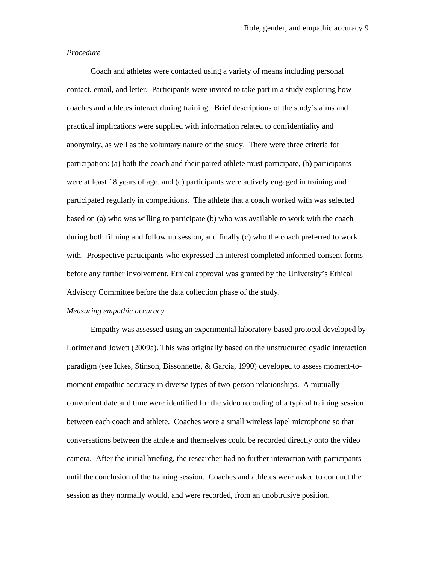#### *Procedure*

Coach and athletes were contacted using a variety of means including personal contact, email, and letter.Participants were invited to take part in a study exploring how coaches and athletes interact during training. Brief descriptions of the study's aims and practical implications were supplied with information related to confidentiality and anonymity, as well as the voluntary nature of the study. There were three criteria for participation: (a) both the coach and their paired athlete must participate, (b) participants were at least 18 years of age, and (c) participants were actively engaged in training and participated regularly in competitions. The athlete that a coach worked with was selected based on (a) who was willing to participate (b) who was available to work with the coach during both filming and follow up session, and finally (c) who the coach preferred to work with. Prospective participants who expressed an interest completed informed consent forms before any further involvement. Ethical approval was granted by the University's Ethical Advisory Committee before the data collection phase of the study.

#### *Measuring empathic accuracy*

Empathy was assessed using an experimental laboratory-based protocol developed by Lorimer and Jowett (2009a). This was originally based on the unstructured dyadic interaction paradigm (see Ickes, Stinson, Bissonnette, & Garcia, 1990) developed to assess moment-tomoment empathic accuracy in diverse types of two-person relationships. A mutually convenient date and time were identified for the video recording of a typical training session between each coach and athlete. Coaches wore a small wireless lapel microphone so that conversations between the athlete and themselves could be recorded directly onto the video camera. After the initial briefing, the researcher had no further interaction with participants until the conclusion of the training session. Coaches and athletes were asked to conduct the session as they normally would, and were recorded, from an unobtrusive position.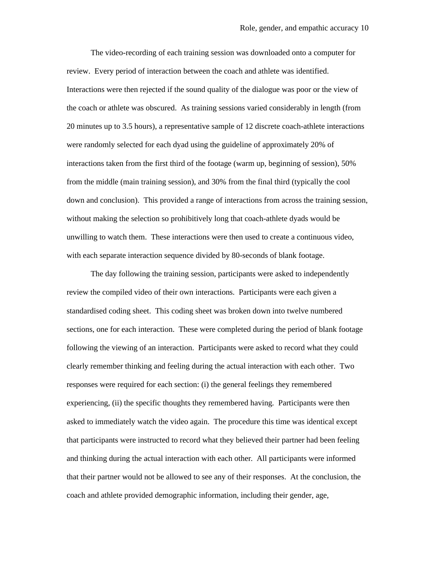The video-recording of each training session was downloaded onto a computer for review. Every period of interaction between the coach and athlete was identified. Interactions were then rejected if the sound quality of the dialogue was poor or the view of the coach or athlete was obscured. As training sessions varied considerably in length (from 20 minutes up to 3.5 hours), a representative sample of 12 discrete coach-athlete interactions were randomly selected for each dyad using the guideline of approximately 20% of interactions taken from the first third of the footage (warm up, beginning of session), 50% from the middle (main training session), and 30% from the final third (typically the cool down and conclusion). This provided a range of interactions from across the training session, without making the selection so prohibitively long that coach-athlete dyads would be unwilling to watch them. These interactions were then used to create a continuous video, with each separate interaction sequence divided by 80-seconds of blank footage.

The day following the training session, participants were asked to independently review the compiled video of their own interactions. Participants were each given a standardised coding sheet. This coding sheet was broken down into twelve numbered sections, one for each interaction. These were completed during the period of blank footage following the viewing of an interaction. Participants were asked to record what they could clearly remember thinking and feeling during the actual interaction with each other. Two responses were required for each section: (i) the general feelings they remembered experiencing, (ii) the specific thoughts they remembered having. Participants were then asked to immediately watch the video again. The procedure this time was identical except that participants were instructed to record what they believed their partner had been feeling and thinking during the actual interaction with each other. All participants were informed that their partner would not be allowed to see any of their responses. At the conclusion, the coach and athlete provided demographic information, including their gender, age,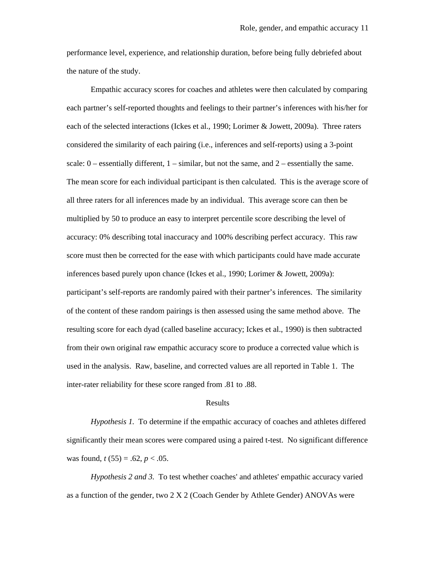performance level, experience, and relationship duration, before being fully debriefed about the nature of the study.

Empathic accuracy scores for coaches and athletes were then calculated by comparing each partner's self-reported thoughts and feelings to their partner's inferences with his/her for each of the selected interactions (Ickes et al., 1990; Lorimer & Jowett, 2009a). Three raters considered the similarity of each pairing (i.e., inferences and self-reports) using a 3-point scale:  $0$  – essentially different,  $1$  – similar, but not the same, and  $2$  – essentially the same. The mean score for each individual participant is then calculated. This is the average score of all three raters for all inferences made by an individual. This average score can then be multiplied by 50 to produce an easy to interpret percentile score describing the level of accuracy: 0% describing total inaccuracy and 100% describing perfect accuracy. This raw score must then be corrected for the ease with which participants could have made accurate inferences based purely upon chance (Ickes et al., 1990; Lorimer & Jowett, 2009a): participant's self-reports are randomly paired with their partner's inferences. The similarity of the content of these random pairings is then assessed using the same method above. The resulting score for each dyad (called baseline accuracy; Ickes et al., 1990) is then subtracted from their own original raw empathic accuracy score to produce a corrected value which is used in the analysis. Raw, baseline, and corrected values are all reported in Table 1. The inter-rater reliability for these score ranged from .81 to .88.

#### Results

*Hypothesis 1.* To determine if the empathic accuracy of coaches and athletes differed significantly their mean scores were compared using a paired t-test. No significant difference was found,  $t(55) = .62, p < .05$ .

*Hypothesis 2 and 3.* To test whether coaches' and athletes' empathic accuracy varied as a function of the gender, two 2 X 2 (Coach Gender by Athlete Gender) ANOVAs were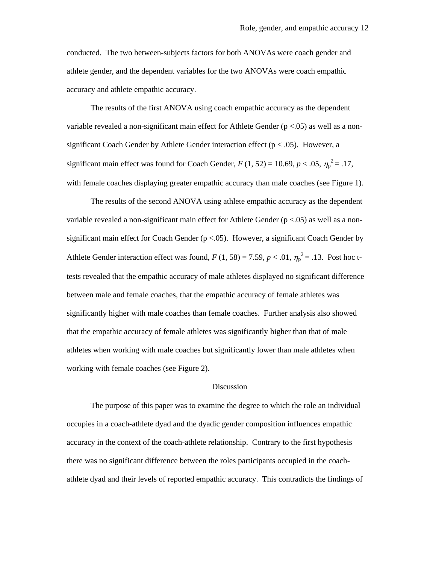conducted. The two between-subjects factors for both ANOVAs were coach gender and athlete gender, and the dependent variables for the two ANOVAs were coach empathic accuracy and athlete empathic accuracy.

The results of the first ANOVA using coach empathic accuracy as the dependent variable revealed a non-significant main effect for Athlete Gender  $(p < .05)$  as well as a nonsignificant Coach Gender by Athlete Gender interaction effect ( $p < .05$ ). However, a significant main effect was found for Coach Gender,  $F(1, 52) = 10.69, p < .05, \eta_p^2 = .17$ , with female coaches displaying greater empathic accuracy than male coaches (see Figure 1).

The results of the second ANOVA using athlete empathic accuracy as the dependent variable revealed a non-significant main effect for Athlete Gender  $(p < .05)$  as well as a nonsignificant main effect for Coach Gender ( $p < .05$ ). However, a significant Coach Gender by Athlete Gender interaction effect was found,  $F(1, 58) = 7.59, p < .01, \eta_p^2 = .13$ . Post hoc ttests revealed that the empathic accuracy of male athletes displayed no significant difference between male and female coaches, that the empathic accuracy of female athletes was significantly higher with male coaches than female coaches. Further analysis also showed that the empathic accuracy of female athletes was significantly higher than that of male athletes when working with male coaches but significantly lower than male athletes when working with female coaches (see Figure 2).

### Discussion

The purpose of this paper was to examine the degree to which the role an individual occupies in a coach-athlete dyad and the dyadic gender composition influences empathic accuracy in the context of the coach-athlete relationship. Contrary to the first hypothesis there was no significant difference between the roles participants occupied in the coachathlete dyad and their levels of reported empathic accuracy. This contradicts the findings of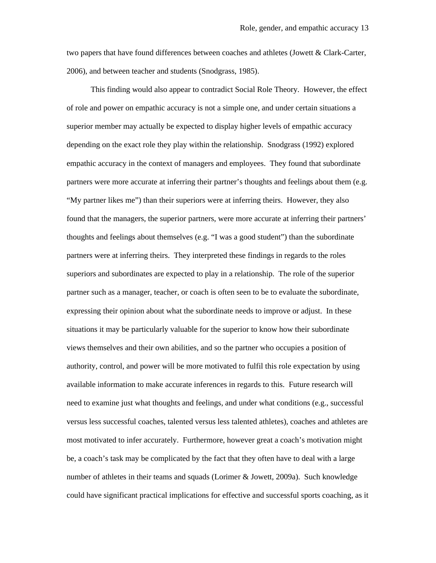two papers that have found differences between coaches and athletes (Jowett & Clark-Carter, 2006), and between teacher and students (Snodgrass, 1985).

This finding would also appear to contradict Social Role Theory. However, the effect of role and power on empathic accuracy is not a simple one, and under certain situations a superior member may actually be expected to display higher levels of empathic accuracy depending on the exact role they play within the relationship. Snodgrass (1992) explored empathic accuracy in the context of managers and employees. They found that subordinate partners were more accurate at inferring their partner's thoughts and feelings about them (e.g. "My partner likes me") than their superiors were at inferring theirs. However, they also found that the managers, the superior partners, were more accurate at inferring their partners' thoughts and feelings about themselves (e.g. "I was a good student") than the subordinate partners were at inferring theirs. They interpreted these findings in regards to the roles superiors and subordinates are expected to play in a relationship. The role of the superior partner such as a manager, teacher, or coach is often seen to be to evaluate the subordinate, expressing their opinion about what the subordinate needs to improve or adjust. In these situations it may be particularly valuable for the superior to know how their subordinate views themselves and their own abilities, and so the partner who occupies a position of authority, control, and power will be more motivated to fulfil this role expectation by using available information to make accurate inferences in regards to this. Future research will need to examine just what thoughts and feelings, and under what conditions (e.g., successful versus less successful coaches, talented versus less talented athletes), coaches and athletes are most motivated to infer accurately. Furthermore, however great a coach's motivation might be, a coach's task may be complicated by the fact that they often have to deal with a large number of athletes in their teams and squads (Lorimer & Jowett, 2009a). Such knowledge could have significant practical implications for effective and successful sports coaching, as it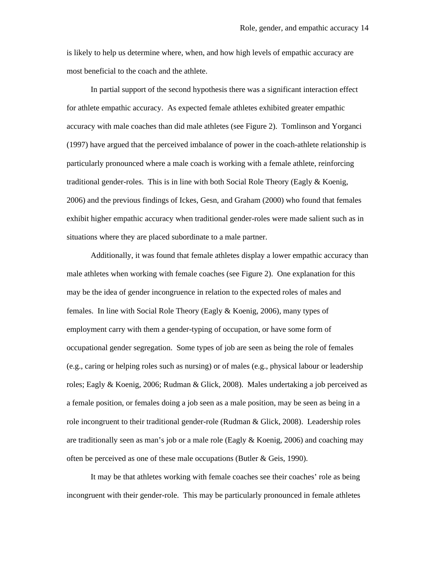is likely to help us determine where, when, and how high levels of empathic accuracy are most beneficial to the coach and the athlete.

In partial support of the second hypothesis there was a significant interaction effect for athlete empathic accuracy. As expected female athletes exhibited greater empathic accuracy with male coaches than did male athletes (see Figure 2). Tomlinson and Yorganci (1997) have argued that the perceived imbalance of power in the coach-athlete relationship is particularly pronounced where a male coach is working with a female athlete, reinforcing traditional gender-roles. This is in line with both Social Role Theory (Eagly & Koenig, 2006) and the previous findings of Ickes, Gesn, and Graham (2000) who found that females exhibit higher empathic accuracy when traditional gender-roles were made salient such as in situations where they are placed subordinate to a male partner.

Additionally, it was found that female athletes display a lower empathic accuracy than male athletes when working with female coaches (see Figure 2). One explanation for this may be the idea of gender incongruence in relation to the expected roles of males and females. In line with Social Role Theory (Eagly & Koenig, 2006), many types of employment carry with them a gender-typing of occupation, or have some form of occupational gender segregation. Some types of job are seen as being the role of females (e.g., caring or helping roles such as nursing) or of males (e.g., physical labour or leadership roles; Eagly & Koenig, 2006; Rudman & Glick, 2008). Males undertaking a job perceived as a female position, or females doing a job seen as a male position, may be seen as being in a role incongruent to their traditional gender-role (Rudman & Glick, 2008). Leadership roles are traditionally seen as man's job or a male role (Eagly  $&$  Koenig, 2006) and coaching may often be perceived as one of these male occupations (Butler & Geis, 1990).

It may be that athletes working with female coaches see their coaches' role as being incongruent with their gender-role. This may be particularly pronounced in female athletes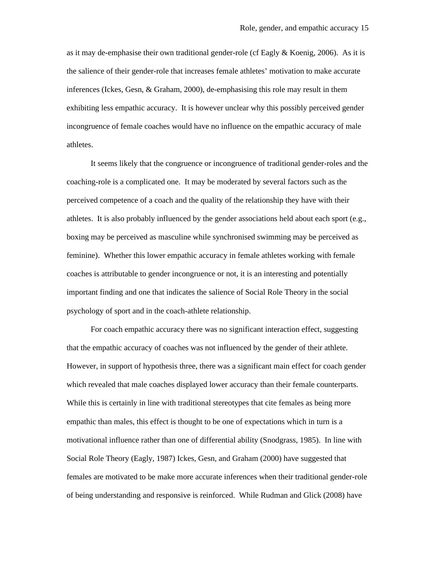as it may de-emphasise their own traditional gender-role (cf Eagly  $&$  Koenig, 2006). As it is the salience of their gender-role that increases female athletes' motivation to make accurate inferences (Ickes, Gesn, & Graham, 2000), de-emphasising this role may result in them exhibiting less empathic accuracy. It is however unclear why this possibly perceived gender incongruence of female coaches would have no influence on the empathic accuracy of male athletes.

It seems likely that the congruence or incongruence of traditional gender-roles and the coaching-role is a complicated one. It may be moderated by several factors such as the perceived competence of a coach and the quality of the relationship they have with their athletes. It is also probably influenced by the gender associations held about each sport (e.g., boxing may be perceived as masculine while synchronised swimming may be perceived as feminine). Whether this lower empathic accuracy in female athletes working with female coaches is attributable to gender incongruence or not, it is an interesting and potentially important finding and one that indicates the salience of Social Role Theory in the social psychology of sport and in the coach-athlete relationship.

For coach empathic accuracy there was no significant interaction effect, suggesting that the empathic accuracy of coaches was not influenced by the gender of their athlete. However, in support of hypothesis three, there was a significant main effect for coach gender which revealed that male coaches displayed lower accuracy than their female counterparts. While this is certainly in line with traditional stereotypes that cite females as being more empathic than males, this effect is thought to be one of expectations which in turn is a motivational influence rather than one of differential ability (Snodgrass, 1985). In line with Social Role Theory (Eagly, 1987) Ickes, Gesn, and Graham (2000) have suggested that females are motivated to be make more accurate inferences when their traditional gender-role of being understanding and responsive is reinforced. While Rudman and Glick (2008) have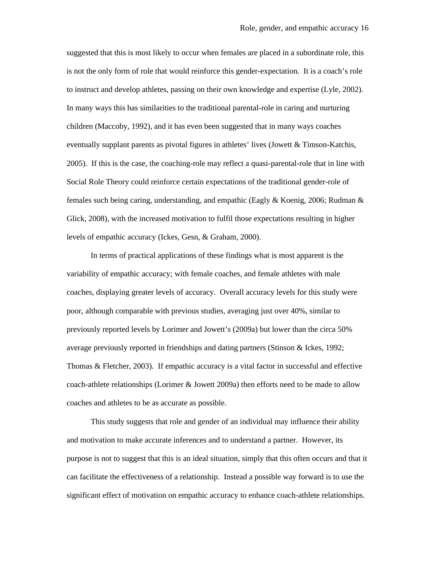suggested that this is most likely to occur when females are placed in a subordinate role, this is not the only form of role that would reinforce this gender-expectation. It is a coach's role to instruct and develop athletes, passing on their own knowledge and expertise (Lyle, 2002). In many ways this has similarities to the traditional parental-role in caring and nurturing children (Maccoby, 1992), and it has even been suggested that in many ways coaches eventually supplant parents as pivotal figures in athletes' lives (Jowett & Timson-Katchis, 2005). If this is the case, the coaching-role may reflect a quasi-parental-role that in line with Social Role Theory could reinforce certain expectations of the traditional gender-role of females such being caring, understanding, and empathic (Eagly & Koenig, 2006; Rudman & Glick, 2008), with the increased motivation to fulfil those expectations resulting in higher levels of empathic accuracy (Ickes, Gesn, & Graham, 2000).

In terms of practical applications of these findings what is most apparent is the variability of empathic accuracy; with female coaches, and female athletes with male coaches, displaying greater levels of accuracy. Overall accuracy levels for this study were poor, although comparable with previous studies, averaging just over 40%, similar to previously reported levels by Lorimer and Jowett's (2009a) but lower than the circa 50% average previously reported in friendships and dating partners (Stinson & Ickes, 1992; Thomas & Fletcher, 2003). If empathic accuracy is a vital factor in successful and effective coach-athlete relationships (Lorimer & Jowett 2009a) then efforts need to be made to allow coaches and athletes to be as accurate as possible.

This study suggests that role and gender of an individual may influence their ability and motivation to make accurate inferences and to understand a partner. However, its purpose is not to suggest that this is an ideal situation, simply that this often occurs and that it can facilitate the effectiveness of a relationship. Instead a possible way forward is to use the significant effect of motivation on empathic accuracy to enhance coach-athlete relationships.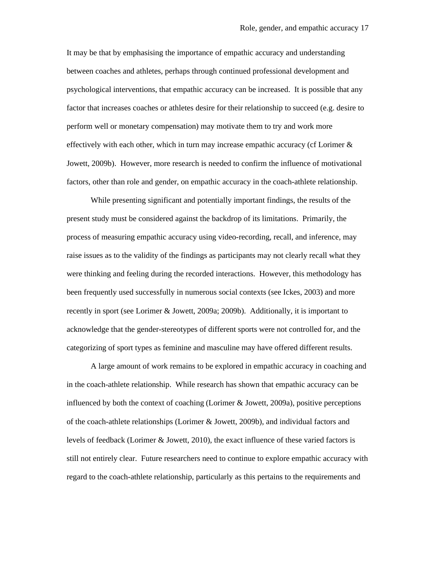It may be that by emphasising the importance of empathic accuracy and understanding between coaches and athletes, perhaps through continued professional development and psychological interventions, that empathic accuracy can be increased. It is possible that any factor that increases coaches or athletes desire for their relationship to succeed (e.g. desire to perform well or monetary compensation) may motivate them to try and work more effectively with each other, which in turn may increase empathic accuracy (cf Lorimer  $\&$ Jowett, 2009b). However, more research is needed to confirm the influence of motivational factors, other than role and gender, on empathic accuracy in the coach-athlete relationship.

While presenting significant and potentially important findings, the results of the present study must be considered against the backdrop of its limitations. Primarily, the process of measuring empathic accuracy using video-recording, recall, and inference, may raise issues as to the validity of the findings as participants may not clearly recall what they were thinking and feeling during the recorded interactions. However, this methodology has been frequently used successfully in numerous social contexts (see Ickes, 2003) and more recently in sport (see Lorimer & Jowett, 2009a; 2009b). Additionally, it is important to acknowledge that the gender-stereotypes of different sports were not controlled for, and the categorizing of sport types as feminine and masculine may have offered different results.

A large amount of work remains to be explored in empathic accuracy in coaching and in the coach-athlete relationship. While research has shown that empathic accuracy can be influenced by both the context of coaching (Lorimer  $\&$  Jowett, 2009a), positive perceptions of the coach-athlete relationships (Lorimer & Jowett, 2009b), and individual factors and levels of feedback (Lorimer & Jowett, 2010), the exact influence of these varied factors is still not entirely clear. Future researchers need to continue to explore empathic accuracy with regard to the coach-athlete relationship, particularly as this pertains to the requirements and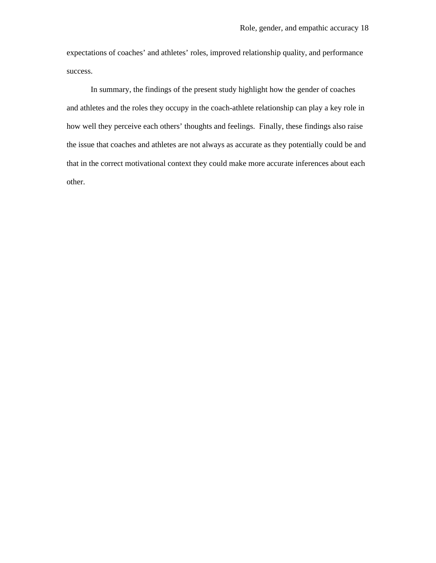expectations of coaches' and athletes' roles, improved relationship quality, and performance success.

In summary, the findings of the present study highlight how the gender of coaches and athletes and the roles they occupy in the coach-athlete relationship can play a key role in how well they perceive each others' thoughts and feelings. Finally, these findings also raise the issue that coaches and athletes are not always as accurate as they potentially could be and that in the correct motivational context they could make more accurate inferences about each other.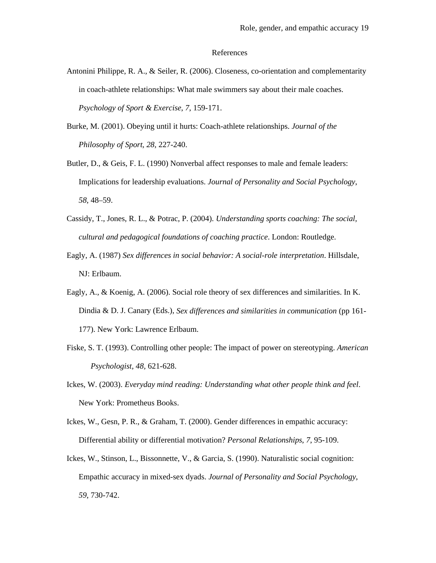#### References

- Antonini Philippe, R. A., & Seiler, R. (2006). Closeness, co-orientation and complementarity in coach-athlete relationships: What male swimmers say about their male coaches. *Psychology of Sport & Exercise*, *7*, 159-171.
- Burke, M. (2001). Obeying until it hurts: Coach-athlete relationships. *Journal of the Philosophy of Sport*, *28*, 227-240.
- Butler, D., & Geis, F. L. (1990) Nonverbal affect responses to male and female leaders: Implications for leadership evaluations. *Journal of Personality and Social Psychology*, *58*, 48–59.
- Cassidy, T., Jones, R. L., & Potrac, P. (2004). *Understanding sports coaching: The social, cultural and pedagogical foundations of coaching practice*. London: Routledge.
- Eagly, A. (1987) *Sex differences in social behavior: A social-role interpretation*. Hillsdale, NJ: Erlbaum.
- Eagly, A., & Koenig, A. (2006). Social role theory of sex differences and similarities. In K. Dindia & D. J. Canary (Eds.), *Sex differences and similarities in communication* (pp 161- 177). New York: Lawrence Erlbaum.
- Fiske, S. T. (1993). Controlling other people: The impact of power on stereotyping. *American Psychologist, 48,* 621-628.
- Ickes, W. (2003). *Everyday mind reading: Understanding what other people think and feel*. New York: Prometheus Books.
- Ickes, W., Gesn, P. R., & Graham, T. (2000). Gender differences in empathic accuracy: Differential ability or differential motivation? *Personal Relationships*, *7*, 95-109.
- Ickes, W., Stinson, L., Bissonnette, V., & Garcia, S. (1990). Naturalistic social cognition: Empathic accuracy in mixed-sex dyads. *Journal of Personality and Social Psychology*, *59*, 730-742.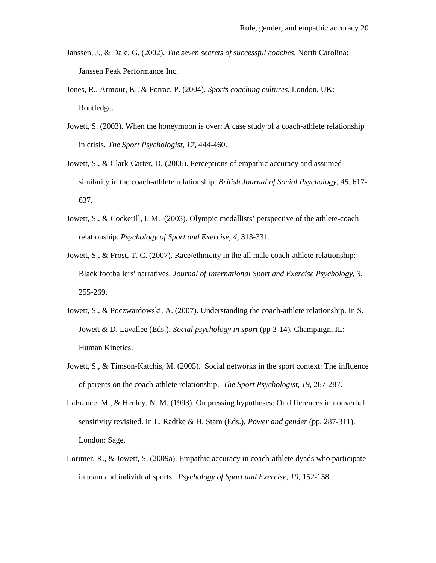- Janssen, J., & Dale, G. (2002). *The seven secrets of successful coaches*. North Carolina: Janssen Peak Performance Inc.
- Jones, R., Armour, K., & Potrac, P. (2004). *Sports coaching cultures*. London, UK: Routledge.
- Jowett, S. (2003). When the honeymoon is over: A case study of a coach-athlete relationship in crisis. *The Sport Psychologist*, *17*, 444-460.
- Jowett, S., & Clark-Carter, D. (2006). Perceptions of empathic accuracy and assumed similarity in the coach-athlete relationship. *British Journal of Social Psychology*, *45*, 617- 637.
- Jowett, S., & Cockerill, I. M. (2003). Olympic medallists' perspective of the athlete-coach relationship. *Psychology of Sport and Exercise*, *4*, 313-331.
- Jowett, S., & Frost, T. C. (2007). Race/ethnicity in the all male coach-athlete relationship: Black footballers' narratives. *Journal of International Sport and Exercise Psychology*, *3*, 255-269.
- Jowett, S., & Poczwardowski, A. (2007). Understanding the coach-athlete relationship. In S. Jowett & D. Lavallee (Eds.), *Social psychology in sport* (pp 3-14)*.* Champaign, IL: Human Kinetics.
- Jowett, S., & Timson-Katchis, M. (2005). Social networks in the sport context: The influence of parents on the coach-athlete relationship. *The Sport Psychologist*, *19*, 267-287.
- LaFrance, M., & Henley, N. M. (1993). On pressing hypotheses: Or differences in nonverbal sensitivity revisited. In L. Radtke & H. Stam (Eds.), *Power and gender* (pp. 287-311). London: Sage.
- Lorimer, R., & Jowett, S. (2009a). Empathic accuracy in coach-athlete dyads who participate in team and individual sports. *Psychology of Sport and Exercise*, *10*, 152-158.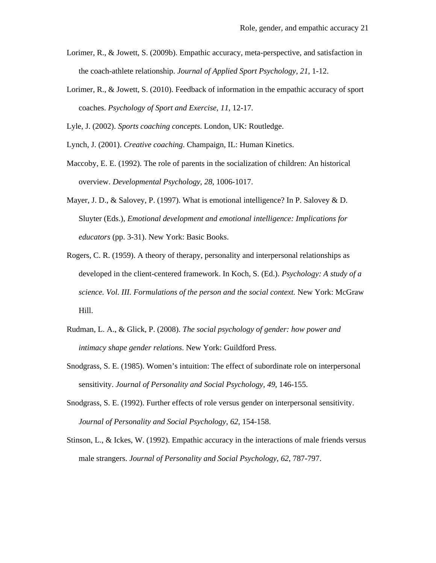- Lorimer, R., & Jowett, S. (2009b). Empathic accuracy, meta-perspective, and satisfaction in the coach-athlete relationship. *Journal of Applied Sport Psychology*, *21*, 1-12.
- Lorimer, R., & Jowett, S. (2010). Feedback of information in the empathic accuracy of sport coaches. *Psychology of Sport and Exercise*, *11*, 12-17.

Lyle, J. (2002). *Sports coaching concepts*. London, UK: Routledge.

Lynch, J. (2001). *Creative coaching*. Champaign, IL: Human Kinetics.

- Maccoby, E. E. (1992). The role of parents in the socialization of children: An historical overview. *Developmental Psychology*, *28*, 1006-1017.
- Mayer, J. D., & Salovey, P. (1997). What is emotional intelligence? In P. Salovey & D. Sluyter (Eds.), *Emotional development and emotional intelligence: Implications for educators* (pp. 3-31). New York: Basic Books.
- Rogers, C. R. (1959). A theory of therapy, personality and interpersonal relationships as developed in the client-centered framework. In Koch, S. (Ed.). *Psychology: A study of a science. Vol. III. Formulations of the person and the social context.* New York: McGraw Hill.
- Rudman, L. A., & Glick, P. (2008). *The social psychology of gender: how power and intimacy shape gender relations*. New York: Guildford Press.
- Snodgrass, S. E. (1985). Women's intuition: The effect of subordinate role on interpersonal sensitivity. *Journal of Personality and Social Psychology*, *49*, 146-155.
- Snodgrass, S. E. (1992). Further effects of role versus gender on interpersonal sensitivity. *Journal of Personality and Social Psychology*, *62*, 154-158.
- Stinson, L., & Ickes, W. (1992). Empathic accuracy in the interactions of male friends versus male strangers. *Journal of Personality and Social Psychology*, *62*, 787-797.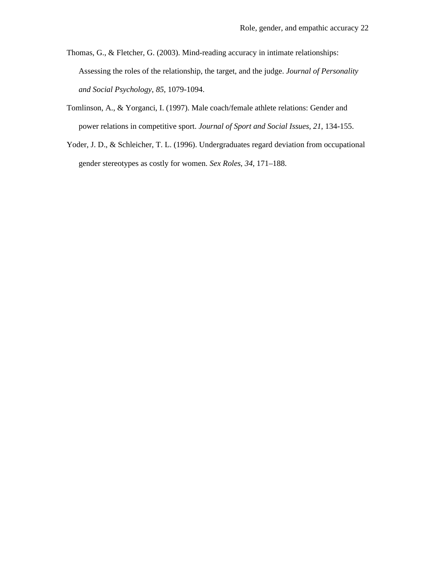- Thomas, G., & Fletcher, G. (2003). Mind-reading accuracy in intimate relationships: Assessing the roles of the relationship, the target, and the judge. *Journal of Personality and Social Psychology*, *85*, 1079-1094.
- Tomlinson, A., & Yorganci, I. (1997). Male coach/female athlete relations: Gender and power relations in competitive sport. *Journal of Sport and Social Issues*, *21*, 134-155.
- Yoder, J. D., & Schleicher, T. L. (1996). Undergraduates regard deviation from occupational gender stereotypes as costly for women. *Sex Roles*, *34*, 171–188.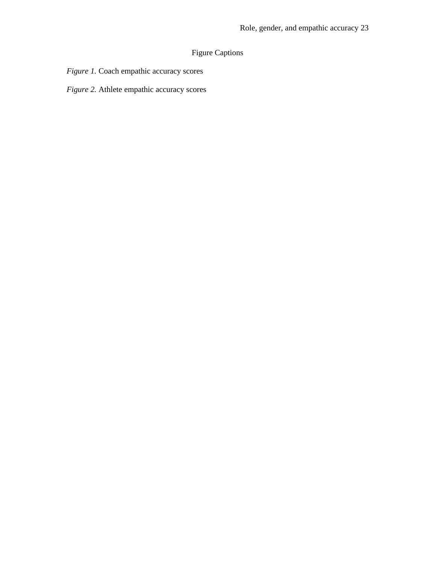# Figure Captions

*Figure 1.* Coach empathic accuracy scores

*Figure 2.* Athlete empathic accuracy scores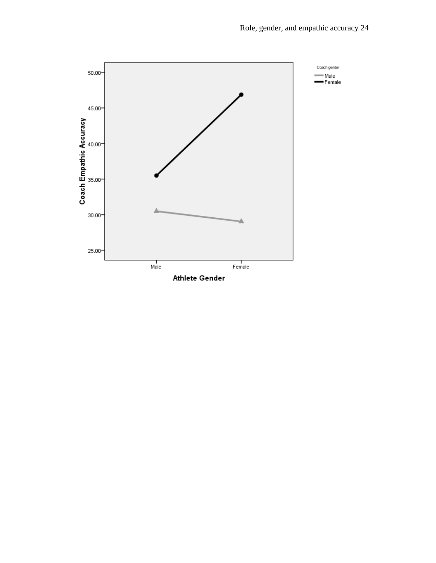

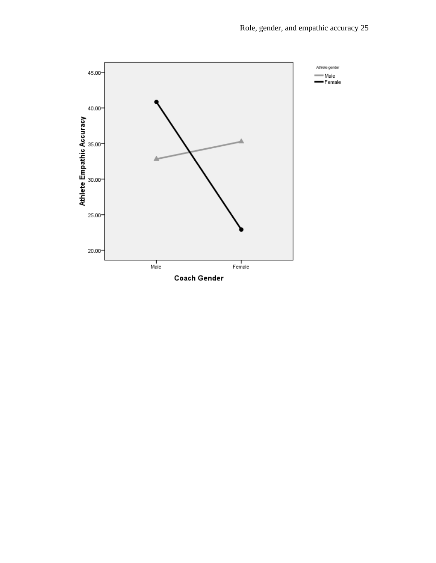

Coach Gender